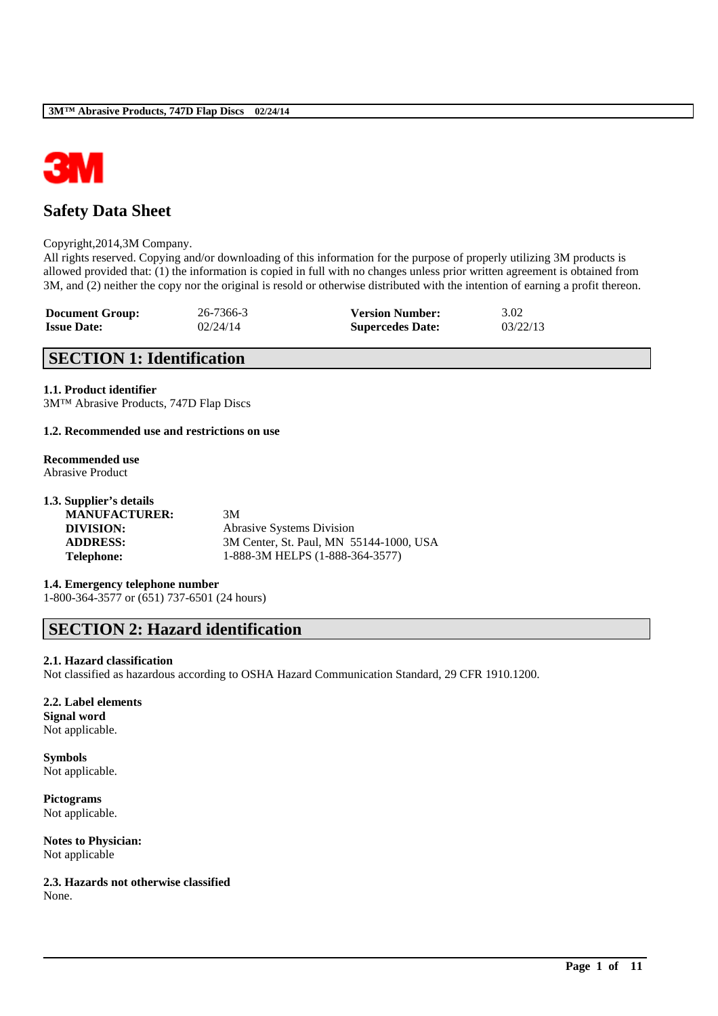

# **Safety Data Sheet**

#### Copyright,2014,3M Company.

All rights reserved. Copying and/or downloading of this information for the purpose of properly utilizing 3M products is allowed provided that: (1) the information is copied in full with no changes unless prior written agreement is obtained from 3M, and (2) neither the copy nor the original is resold or otherwise distributed with the intention of earning a profit thereon.

| <b>Document Group:</b> | 26-7366-3 | <b>Version Number:</b>  | 3.02     |
|------------------------|-----------|-------------------------|----------|
| <b>Issue Date:</b>     | 02/24/14  | <b>Supercedes Date:</b> | 03/22/13 |

## **SECTION 1: Identification**

#### **1.1. Product identifier**

3M™ Abrasive Products, 747D Flap Discs

#### **1.2. Recommended use and restrictions on use**

# **Recommended use**

Abrasive Product

| 1.3. Supplier's details |                                         |
|-------------------------|-----------------------------------------|
| <b>MANUFACTURER:</b>    | 3M                                      |
| DIVISION:               | <b>Abrasive Systems Division</b>        |
| <b>ADDRESS:</b>         | 3M Center, St. Paul, MN 55144-1000, USA |
| <b>Telephone:</b>       | 1-888-3M HELPS (1-888-364-3577)         |
|                         |                                         |

**1.4. Emergency telephone number** 1-800-364-3577 or (651) 737-6501 (24 hours)

## **SECTION 2: Hazard identification**

#### **2.1. Hazard classification**

Not classified as hazardous according to OSHA Hazard Communication Standard, 29 CFR 1910.1200.

\_\_\_\_\_\_\_\_\_\_\_\_\_\_\_\_\_\_\_\_\_\_\_\_\_\_\_\_\_\_\_\_\_\_\_\_\_\_\_\_\_\_\_\_\_\_\_\_\_\_\_\_\_\_\_\_\_\_\_\_\_\_\_\_\_\_\_\_\_\_\_\_\_\_\_\_\_\_\_\_\_\_\_\_\_\_\_\_\_\_

#### **2.2. Label elements**

**Signal word** Not applicable.

**Symbols** Not applicable.

**Pictograms** Not applicable.

**Notes to Physician:** Not applicable

**2.3. Hazards not otherwise classified** None.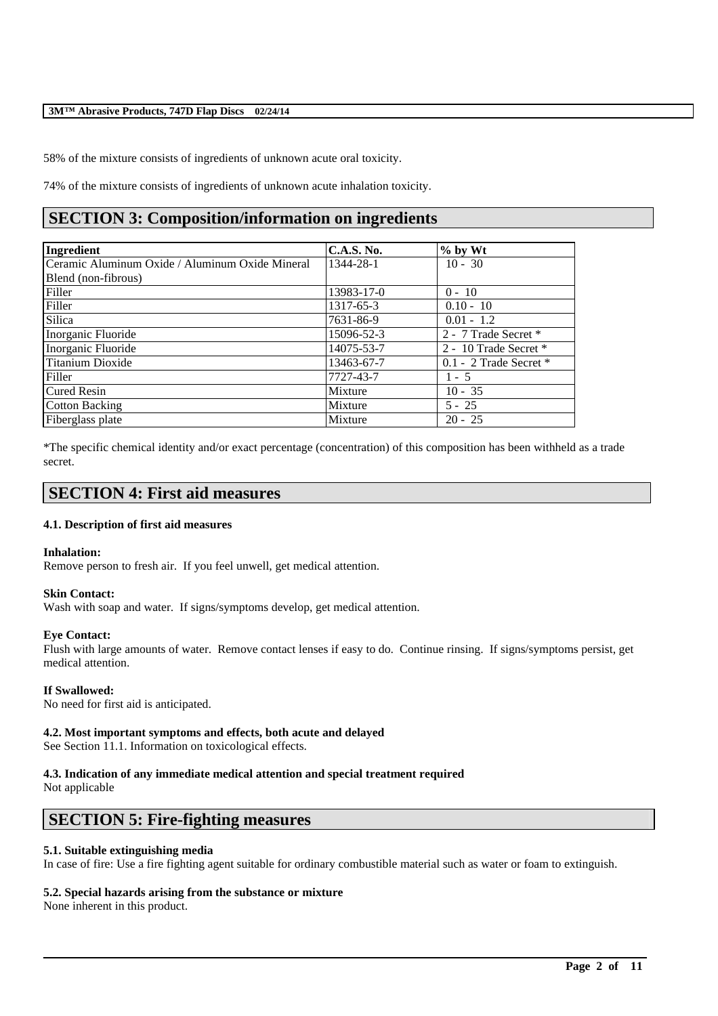58% of the mixture consists of ingredients of unknown acute oral toxicity.

74% of the mixture consists of ingredients of unknown acute inhalation toxicity.

# **SECTION 3: Composition/information on ingredients**

| Ingredient                                      | <b>C.A.S. No.</b> | $%$ by Wt                  |
|-------------------------------------------------|-------------------|----------------------------|
| Ceramic Aluminum Oxide / Aluminum Oxide Mineral | 1344-28-1         | $10 - 30$                  |
| Blend (non-fibrous)                             |                   |                            |
| Filler                                          | 13983-17-0        | $0 - 10$                   |
| Filler                                          | 1317-65-3         | $0.10 - 10$                |
| <b>Silica</b>                                   | 7631-86-9         | $0.01 - 1.2$               |
| Inorganic Fluoride                              | 15096-52-3        | 2 - 7 Trade Secret *       |
| Inorganic Fluoride                              | 14075-53-7        | 2 - 10 Trade Secret *      |
| <b>Titanium Dioxide</b>                         | 13463-67-7        | $0.1 - 2$ Trade Secret $*$ |
| Filler                                          | 7727-43-7         | $1 - 5$                    |
| <b>Cured Resin</b>                              | Mixture           | $10 - 35$                  |
| <b>Cotton Backing</b>                           | Mixture           | $5 - 25$                   |
| Fiberglass plate                                | Mixture           | $20 - 25$                  |

\*The specific chemical identity and/or exact percentage (concentration) of this composition has been withheld as a trade secret.

## **SECTION 4: First aid measures**

#### **4.1. Description of first aid measures**

#### **Inhalation:**

Remove person to fresh air. If you feel unwell, get medical attention.

#### **Skin Contact:**

Wash with soap and water. If signs/symptoms develop, get medical attention.

#### **Eye Contact:**

Flush with large amounts of water. Remove contact lenses if easy to do. Continue rinsing. If signs/symptoms persist, get medical attention.

#### **If Swallowed:**

No need for first aid is anticipated.

#### **4.2. Most important symptoms and effects, both acute and delayed**

See Section 11.1. Information on toxicological effects.

## **4.3. Indication of any immediate medical attention and special treatment required**

Not applicable

## **SECTION 5: Fire-fighting measures**

#### **5.1. Suitable extinguishing media**

In case of fire: Use a fire fighting agent suitable for ordinary combustible material such as water or foam to extinguish.

\_\_\_\_\_\_\_\_\_\_\_\_\_\_\_\_\_\_\_\_\_\_\_\_\_\_\_\_\_\_\_\_\_\_\_\_\_\_\_\_\_\_\_\_\_\_\_\_\_\_\_\_\_\_\_\_\_\_\_\_\_\_\_\_\_\_\_\_\_\_\_\_\_\_\_\_\_\_\_\_\_\_\_\_\_\_\_\_\_\_

#### **5.2. Special hazards arising from the substance or mixture**

None inherent in this product.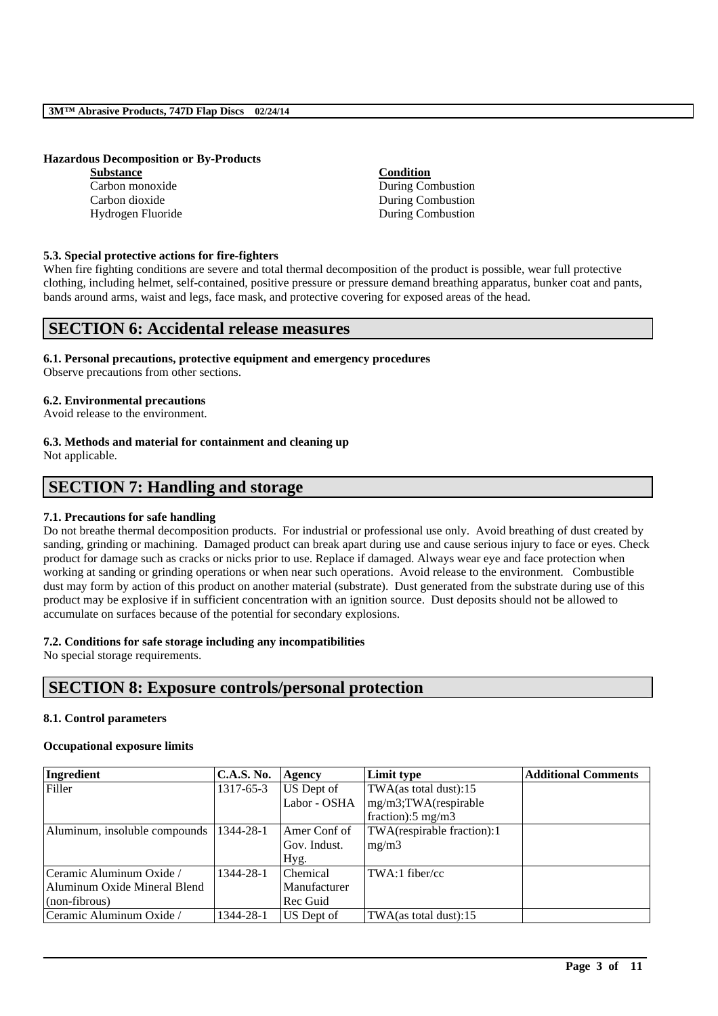#### **Hazardous Decomposition or By-Products**

| <b>Substance</b>  | <b>Condition</b>  |
|-------------------|-------------------|
| Carbon monoxide   | During Combustion |
| Carbon dioxide    | During Combustion |
| Hydrogen Fluoride | During Combustion |

#### **5.3. Special protective actions for fire-fighters**

When fire fighting conditions are severe and total thermal decomposition of the product is possible, wear full protective clothing, including helmet, self-contained, positive pressure or pressure demand breathing apparatus, bunker coat and pants, bands around arms, waist and legs, face mask, and protective covering for exposed areas of the head.

## **SECTION 6: Accidental release measures**

#### **6.1. Personal precautions, protective equipment and emergency procedures**

Observe precautions from other sections.

#### **6.2. Environmental precautions**

Avoid release to the environment.

**6.3. Methods and material for containment and cleaning up**

Not applicable.

## **SECTION 7: Handling and storage**

#### **7.1. Precautions for safe handling**

Do not breathe thermal decomposition products. For industrial or professional use only. Avoid breathing of dust created by sanding, grinding or machining. Damaged product can break apart during use and cause serious injury to face or eyes. Check product for damage such as cracks or nicks prior to use. Replace if damaged. Always wear eye and face protection when working at sanding or grinding operations or when near such operations. Avoid release to the environment. Combustible dust may form by action of this product on another material (substrate). Dust generated from the substrate during use of this product may be explosive if in sufficient concentration with an ignition source. Dust deposits should not be allowed to accumulate on surfaces because of the potential for secondary explosions.

#### **7.2. Conditions for safe storage including any incompatibilities**

No special storage requirements.

## **SECTION 8: Exposure controls/personal protection**

#### **8.1. Control parameters**

#### **Occupational exposure limits**

| Ingredient                    | <b>C.A.S. No.</b> | Agency       | Limit type                    | <b>Additional Comments</b> |
|-------------------------------|-------------------|--------------|-------------------------------|----------------------------|
| Filler                        | 1317-65-3         | US Dept of   | TWA(as total dust):15         |                            |
|                               |                   | Labor - OSHA | $mg/m3$ ; TWA(respirable      |                            |
|                               |                   |              | fraction): $5 \text{ mg/m}$ 3 |                            |
| Aluminum, insoluble compounds | 1344-28-1         | Amer Conf of | TWA(respirable fraction):1    |                            |
|                               |                   | Gov. Indust. | mg/m3                         |                            |
|                               |                   | Hyg.         |                               |                            |
| Ceramic Aluminum Oxide /      | 1344-28-1         | Chemical     | $TWA:1$ fiber/cc              |                            |
| Aluminum Oxide Mineral Blend  |                   | Manufacturer |                               |                            |
| (non-fibrous)                 |                   | Rec Guid     |                               |                            |
| Ceramic Aluminum Oxide /      | 1344-28-1         | US Dept of   | $TWA$ (as total dust): 15     |                            |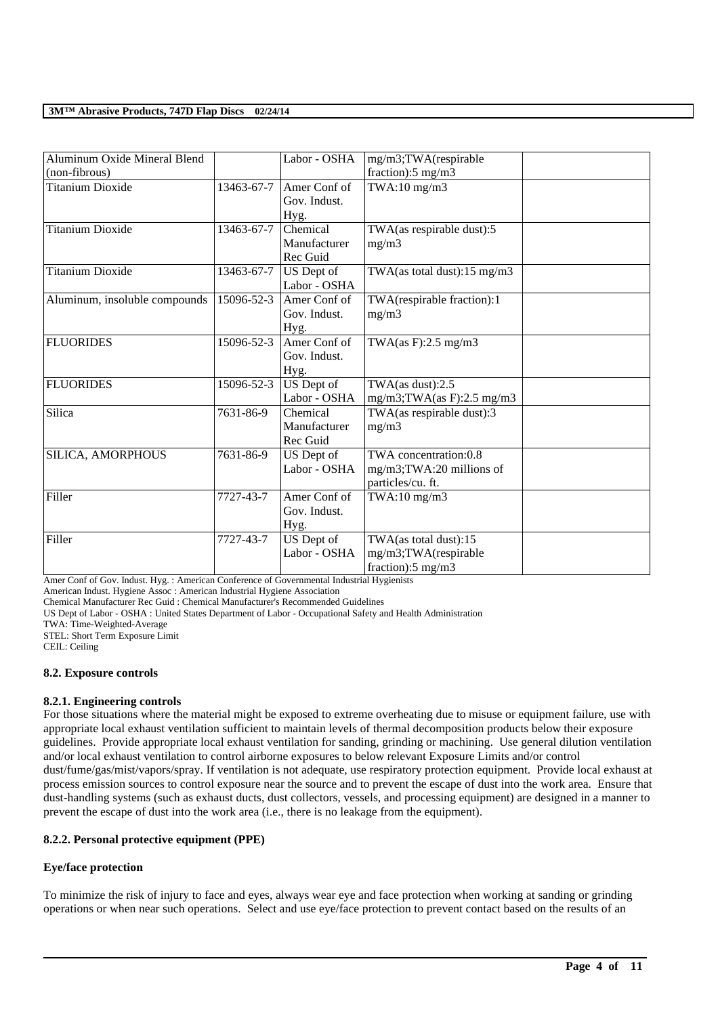| Aluminum Oxide Mineral Blend  |            | Labor - OSHA | mg/m3;TWA(respirable           |  |
|-------------------------------|------------|--------------|--------------------------------|--|
| (non-fibrous)                 |            |              | fraction): $5 \text{ mg/m}$ 3  |  |
| <b>Titanium Dioxide</b>       | 13463-67-7 | Amer Conf of | TWA:10 mg/m3                   |  |
|                               |            | Gov. Indust. |                                |  |
|                               |            | Hyg.         |                                |  |
| <b>Titanium Dioxide</b>       | 13463-67-7 | Chemical     | TWA(as respirable dust):5      |  |
|                               |            | Manufacturer | mg/m3                          |  |
|                               |            | Rec Guid     |                                |  |
| <b>Titanium Dioxide</b>       | 13463-67-7 | US Dept of   | TWA(as total dust):15 mg/m3    |  |
|                               |            | Labor - OSHA |                                |  |
| Aluminum, insoluble compounds | 15096-52-3 | Amer Conf of | TWA(respirable fraction):1     |  |
|                               |            | Gov. Indust. | mg/m3                          |  |
|                               |            | Hyg.         |                                |  |
| <b>FLUORIDES</b>              | 15096-52-3 | Amer Conf of | TWA(as F):2.5 mg/m3            |  |
|                               |            | Gov. Indust. |                                |  |
|                               |            | Hyg.         |                                |  |
| <b>FLUORIDES</b>              | 15096-52-3 | US Dept of   | TWA $(as dust):2.5$            |  |
|                               |            | Labor - OSHA | $mg/m3$ ; TWA(as F): 2.5 mg/m3 |  |
| Silica                        | 7631-86-9  | Chemical     | TWA(as respirable dust):3      |  |
|                               |            | Manufacturer | mg/m3                          |  |
|                               |            | Rec Guid     |                                |  |
| SILICA, AMORPHOUS             | 7631-86-9  | US Dept of   | TWA concentration:0.8          |  |
|                               |            | Labor - OSHA | mg/m3;TWA:20 millions of       |  |
|                               |            |              | particles/cu. ft.              |  |
| Filler                        | 7727-43-7  | Amer Conf of | $TWA:10$ mg/m $3$              |  |
|                               |            | Gov. Indust. |                                |  |
|                               |            | Hyg.         |                                |  |
| Filler                        | 7727-43-7  | US Dept of   | TWA(as total dust):15          |  |
|                               |            | Labor - OSHA | mg/m3;TWA(respirable           |  |
|                               |            |              | fraction):5 mg/m3              |  |

Amer Conf of Gov. Indust. Hyg. : American Conference of Governmental Industrial Hygienists

American Indust. Hygiene Assoc : American Industrial Hygiene Association

Chemical Manufacturer Rec Guid : Chemical Manufacturer's Recommended Guidelines

US Dept of Labor - OSHA : United States Department of Labor - Occupational Safety and Health Administration

TWA: Time-Weighted-Average

STEL: Short Term Exposure Limit

CEIL: Ceiling

#### **8.2. Exposure controls**

#### **8.2.1. Engineering controls**

For those situations where the material might be exposed to extreme overheating due to misuse or equipment failure, use with appropriate local exhaust ventilation sufficient to maintain levels of thermal decomposition products below their exposure guidelines. Provide appropriate local exhaust ventilation for sanding, grinding or machining. Use general dilution ventilation and/or local exhaust ventilation to control airborne exposures to below relevant Exposure Limits and/or control dust/fume/gas/mist/vapors/spray. If ventilation is not adequate, use respiratory protection equipment. Provide local exhaust at process emission sources to control exposure near the source and to prevent the escape of dust into the work area. Ensure that dust-handling systems (such as exhaust ducts, dust collectors, vessels, and processing equipment) are designed in a manner to prevent the escape of dust into the work area (i.e., there is no leakage from the equipment).

#### **8.2.2. Personal protective equipment (PPE)**

#### **Eye/face protection**

To minimize the risk of injury to face and eyes, always wear eye and face protection when working at sanding or grinding operations or when near such operations. Select and use eye/face protection to prevent contact based on the results of an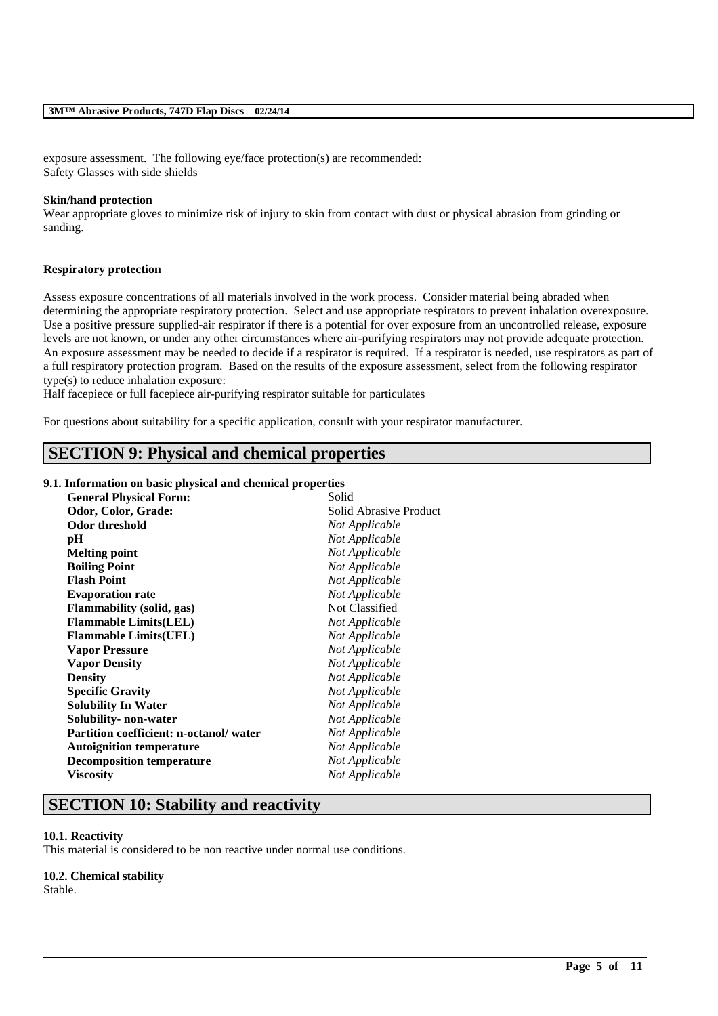exposure assessment. The following eye/face protection(s) are recommended: Safety Glasses with side shields

#### **Skin/hand protection**

Wear appropriate gloves to minimize risk of injury to skin from contact with dust or physical abrasion from grinding or sanding.

#### **Respiratory protection**

Assess exposure concentrations of all materials involved in the work process. Consider material being abraded when determining the appropriate respiratory protection. Select and use appropriate respirators to prevent inhalation overexposure. Use a positive pressure supplied-air respirator if there is a potential for over exposure from an uncontrolled release, exposure levels are not known, or under any other circumstances where air-purifying respirators may not provide adequate protection. An exposure assessment may be needed to decide if a respirator is required. If a respirator is needed, use respirators as part of a full respiratory protection program. Based on the results of the exposure assessment, select from the following respirator type(s) to reduce inhalation exposure:

\_\_\_\_\_\_\_\_\_\_\_\_\_\_\_\_\_\_\_\_\_\_\_\_\_\_\_\_\_\_\_\_\_\_\_\_\_\_\_\_\_\_\_\_\_\_\_\_\_\_\_\_\_\_\_\_\_\_\_\_\_\_\_\_\_\_\_\_\_\_\_\_\_\_\_\_\_\_\_\_\_\_\_\_\_\_\_\_\_\_

Half facepiece or full facepiece air-purifying respirator suitable for particulates

For questions about suitability for a specific application, consult with your respirator manufacturer.

# **SECTION 9: Physical and chemical properties**

#### **9.1. Information on basic physical and chemical properties**

| <b>General Physical Form:</b>                 | Solid                  |
|-----------------------------------------------|------------------------|
| Odor, Color, Grade:                           | Solid Abrasive Product |
| <b>Odor threshold</b>                         | Not Applicable         |
| pH                                            | Not Applicable         |
| <b>Melting point</b>                          | Not Applicable         |
| <b>Boiling Point</b>                          | Not Applicable         |
| <b>Flash Point</b>                            | Not Applicable         |
| <b>Evaporation rate</b>                       | Not Applicable         |
| <b>Flammability</b> (solid, gas)              | Not Classified         |
| <b>Flammable Limits(LEL)</b>                  | Not Applicable         |
| <b>Flammable Limits(UEL)</b>                  | Not Applicable         |
| <b>Vapor Pressure</b>                         | Not Applicable         |
| <b>Vapor Density</b>                          | Not Applicable         |
| <b>Density</b>                                | Not Applicable         |
| <b>Specific Gravity</b>                       | Not Applicable         |
| <b>Solubility In Water</b>                    | Not Applicable         |
| Solubility- non-water                         | Not Applicable         |
| <b>Partition coefficient: n-octanol/water</b> | Not Applicable         |
| <b>Autoignition temperature</b>               | Not Applicable         |
| <b>Decomposition temperature</b>              | Not Applicable         |
| <b>Viscosity</b>                              | Not Applicable         |
|                                               |                        |

## **SECTION 10: Stability and reactivity**

#### **10.1. Reactivity**

This material is considered to be non reactive under normal use conditions.

# **10.2. Chemical stability**

Stable.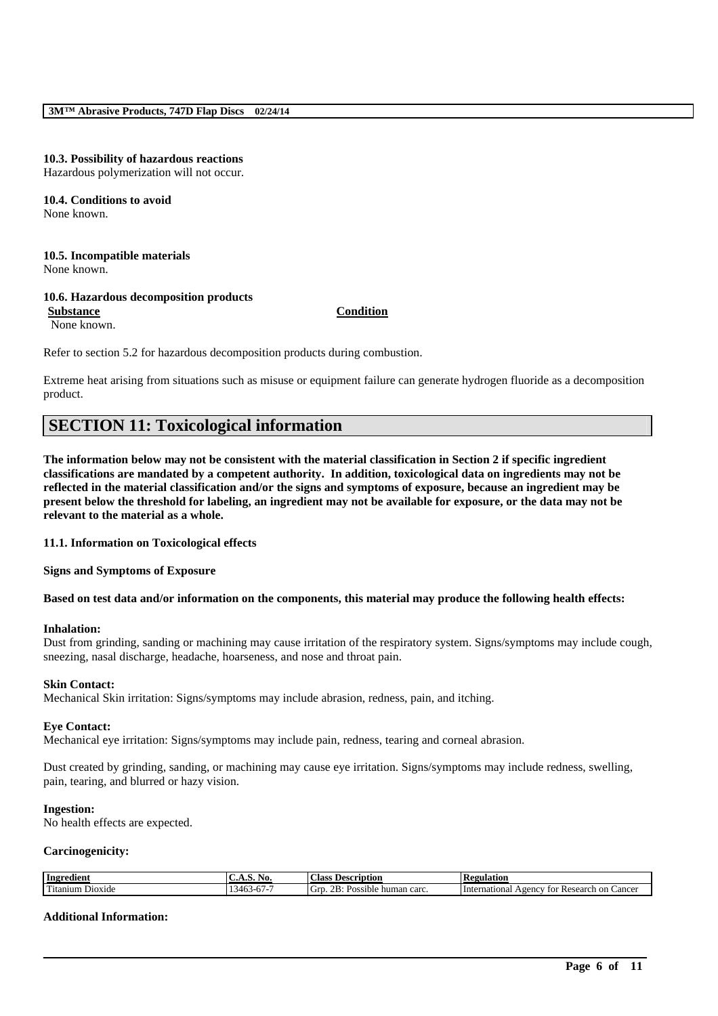#### **10.3. Possibility of hazardous reactions**

Hazardous polymerization will not occur.

#### **10.4. Conditions to avoid** None known.

#### **10.5. Incompatible materials** None known.

# **10.6. Hazardous decomposition products**

**Substance Condition**

None known.

Refer to section 5.2 for hazardous decomposition products during combustion.

Extreme heat arising from situations such as misuse or equipment failure can generate hydrogen fluoride as a decomposition product.

# **SECTION 11: Toxicological information**

**The information below may not be consistent with the material classification in Section 2 if specific ingredient classifications are mandated by a competent authority. In addition, toxicological data on ingredients may not be reflected in the material classification and/or the signs and symptoms of exposure, because an ingredient may be present below the threshold for labeling, an ingredient may not be available for exposure, or the data may not be relevant to the material as a whole.**

#### **11.1. Information on Toxicological effects**

**Signs and Symptoms of Exposure**

**Based on test data and/or information on the components, this material may produce the following health effects:**

#### **Inhalation:**

Dust from grinding, sanding or machining may cause irritation of the respiratory system. Signs/symptoms may include cough, sneezing, nasal discharge, headache, hoarseness, and nose and throat pain.

#### **Skin Contact:**

Mechanical Skin irritation: Signs/symptoms may include abrasion, redness, pain, and itching.

#### **Eye Contact:**

Mechanical eye irritation: Signs/symptoms may include pain, redness, tearing and corneal abrasion.

Dust created by grinding, sanding, or machining may cause eye irritation. Signs/symptoms may include redness, swelling, pain, tearing, and blurred or hazy vision.

#### **Ingestion:**

No health effects are expected.

#### **Carcinogenicity:**

| Ingredient                       | NO.<br>¬……<br>.                                       | Class<br>Description                                                     | D<br>tegulation                                           |
|----------------------------------|-------------------------------------------------------|--------------------------------------------------------------------------|-----------------------------------------------------------|
| T<br>$ -$<br>Dioxide<br>Fitanium | $\overline{1}$<br>340.S<br>$\cdot\cdot\cdot$ .<br>. . | $\sim$<br>OD.<br>carc<br>Grr<br>م ماد،<br>human<br>sible<br>- 120<br>. . | International<br>Research<br>eency<br>Cancel<br>on<br>tor |

\_\_\_\_\_\_\_\_\_\_\_\_\_\_\_\_\_\_\_\_\_\_\_\_\_\_\_\_\_\_\_\_\_\_\_\_\_\_\_\_\_\_\_\_\_\_\_\_\_\_\_\_\_\_\_\_\_\_\_\_\_\_\_\_\_\_\_\_\_\_\_\_\_\_\_\_\_\_\_\_\_\_\_\_\_\_\_\_\_\_

#### **Additional Information:**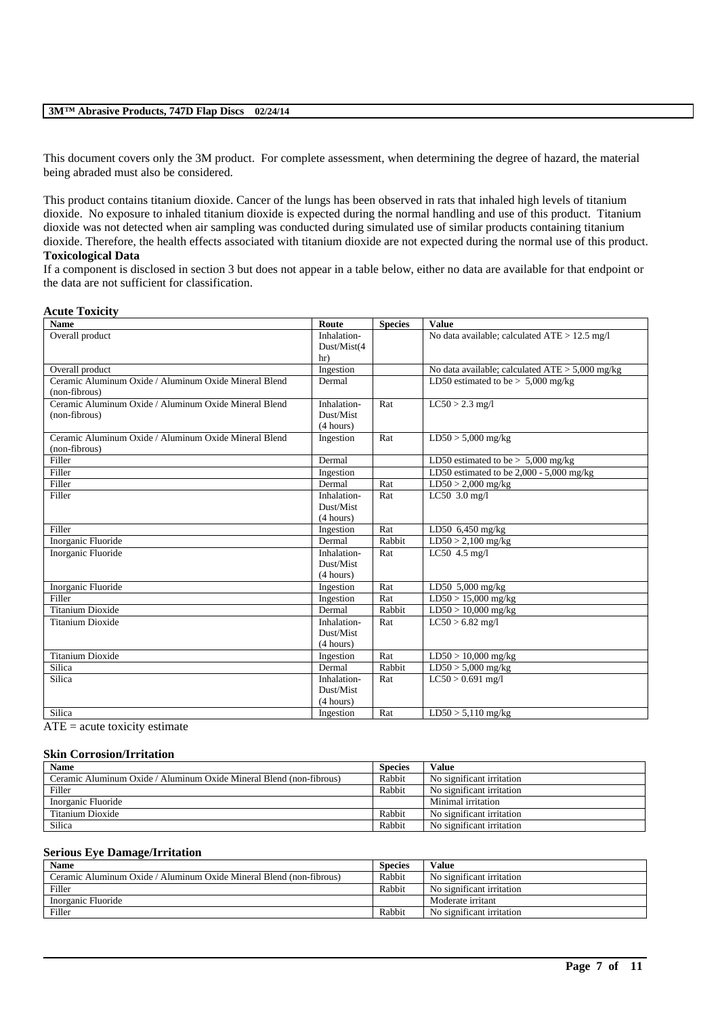This document covers only the 3M product. For complete assessment, when determining the degree of hazard, the material being abraded must also be considered.

This product contains titanium dioxide. Cancer of the lungs has been observed in rats that inhaled high levels of titanium dioxide. No exposure to inhaled titanium dioxide is expected during the normal handling and use of this product. Titanium dioxide was not detected when air sampling was conducted during simulated use of similar products containing titanium dioxide. Therefore, the health effects associated with titanium dioxide are not expected during the normal use of this product. **Toxicological Data**

If a component is disclosed in section 3 but does not appear in a table below, either no data are available for that endpoint or the data are not sufficient for classification.

#### **Acute Toxicity**

| <b>Name</b>                                           | Route       | <b>Species</b> | <b>Value</b>                                    |
|-------------------------------------------------------|-------------|----------------|-------------------------------------------------|
| Overall product                                       | Inhalation- |                | No data available; calculated ATE > 12.5 mg/l   |
|                                                       | Dust/Mist(4 |                |                                                 |
|                                                       | hr)         |                |                                                 |
| Overall product                                       | Ingestion   |                | No data available; calculated ATE > 5,000 mg/kg |
| Ceramic Aluminum Oxide / Aluminum Oxide Mineral Blend | Dermal      |                | LD50 estimated to be $> 5,000$ mg/kg            |
| (non-fibrous)                                         |             |                |                                                 |
| Ceramic Aluminum Oxide / Aluminum Oxide Mineral Blend | Inhalation- | Rat            | $LC50 > 2.3$ mg/l                               |
| (non-fibrous)                                         | Dust/Mist   |                |                                                 |
|                                                       | (4 hours)   |                |                                                 |
| Ceramic Aluminum Oxide / Aluminum Oxide Mineral Blend | Ingestion   | Rat            | $LD50 > 5,000$ mg/kg                            |
| (non-fibrous)                                         |             |                |                                                 |
| Filler                                                | Dermal      |                | LD50 estimated to be $> 5,000$ mg/kg            |
| Filler                                                | Ingestion   |                | LD50 estimated to be $2,000 - 5,000$ mg/kg      |
| Filler                                                | Dermal      | Rat            | $LD50 > 2,000$ mg/kg                            |
| Filler                                                | Inhalation- | Rat            | LC50 3.0 mg/l                                   |
|                                                       | Dust/Mist   |                |                                                 |
|                                                       | (4 hours)   |                |                                                 |
| Filler                                                | Ingestion   | Rat            | LD50 $6,450$ mg/kg                              |
| Inorganic Fluoride                                    | Dermal      | Rabbit         | $LD50 > 2,100$ mg/kg                            |
| Inorganic Fluoride                                    | Inhalation- | Rat            | LC50 $4.5$ mg/l                                 |
|                                                       | Dust/Mist   |                |                                                 |
|                                                       | (4 hours)   |                |                                                 |
| Inorganic Fluoride                                    | Ingestion   | Rat            | LD50 5,000 mg/kg                                |
| Filler                                                | Ingestion   | Rat            | $LD50 > 15,000$ mg/kg                           |
| <b>Titanium Dioxide</b>                               | Dermal      | Rabbit         | $LD50 > 10,000$ mg/kg                           |
| <b>Titanium Dioxide</b>                               | Inhalation- | Rat            | $LC50 > 6.82$ mg/l                              |
|                                                       | Dust/Mist   |                |                                                 |
|                                                       | (4 hours)   |                |                                                 |
| <b>Titanium Dioxide</b>                               | Ingestion   | Rat            | $LD50 > 10,000$ mg/kg                           |
| Silica                                                | Dermal      | Rabbit         | $LD50 > 5,000$ mg/kg                            |
| Silica                                                | Inhalation- | Rat            | $LC50 > 0.691$ mg/l                             |
|                                                       | Dust/Mist   |                |                                                 |
|                                                       | (4 hours)   |                |                                                 |
| Silica                                                | Ingestion   | Rat            | $LD50 > 5,110$ mg/kg                            |

 $ATE = acute$  toxicity estimate

#### **Skin Corrosion/Irritation**

| <b>Name</b>                                                         | <b>Species</b> | <b>Value</b>              |
|---------------------------------------------------------------------|----------------|---------------------------|
| Ceramic Aluminum Oxide / Aluminum Oxide Mineral Blend (non-fibrous) | Rabbit         | No significant irritation |
| Filler                                                              | Rabbit         | No significant irritation |
| Inorganic Fluoride                                                  |                | Minimal irritation        |
| Titanium Dioxide                                                    | Rabbit         | No significant irritation |
| Silica                                                              | Rabbit         | No significant irritation |

#### **Serious Eye Damage/Irritation**

| <b>Name</b>                                                         | <b>Species</b> | Value                     |
|---------------------------------------------------------------------|----------------|---------------------------|
| Ceramic Aluminum Oxide / Aluminum Oxide Mineral Blend (non-fibrous) | Rabbit         | No significant irritation |
| Filler                                                              | Rabbit         | No significant irritation |
| Inorganic Fluoride                                                  |                | Moderate irritant         |
| Filler                                                              | Rabbit         | No significant irritation |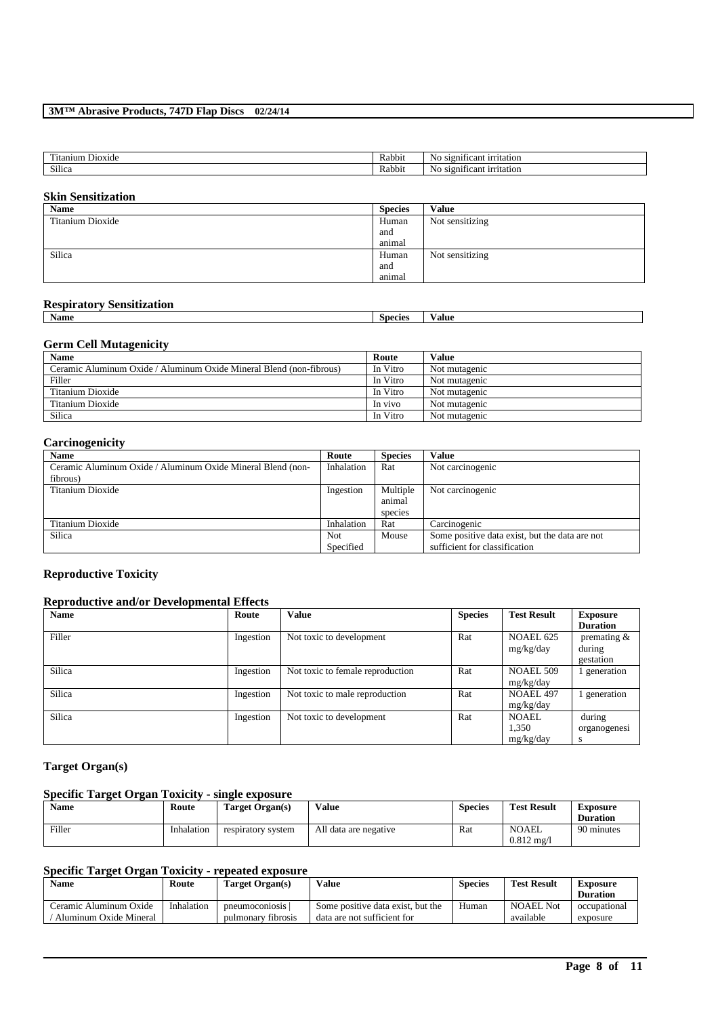| ---<br>l'itanıum<br>. Dioxide | - -<br><b>Rabbit</b> | $-0.0000$<br>, signi†<br>can<br>ΝC<br>ntation<br>10 |
|-------------------------------|----------------------|-----------------------------------------------------|
| Silica                        | - -<br><b>Rabbit</b> | . .<br>can<br>N0<br>urritation<br>signit            |

## **Skin Sensitization**

| Name             | <b>Species</b> | <b>Value</b>    |
|------------------|----------------|-----------------|
| Titanium Dioxide | Human          | Not sensitizing |
|                  | and            |                 |
|                  | animal         |                 |
| Silica           | Human          | Not sensitizing |
|                  | and            |                 |
|                  | animal         |                 |

#### **Respiratory Sensitization**

| <b>Name</b> | species | ⁄ alue |
|-------------|---------|--------|
|             |         |        |

## **Germ Cell Mutagenicity**

| <b>Name</b>                                                         | Route    | Value         |
|---------------------------------------------------------------------|----------|---------------|
| Ceramic Aluminum Oxide / Aluminum Oxide Mineral Blend (non-fibrous) | In Vitro | Not mutagenic |
| Filler                                                              | In Vitro | Not mutagenic |
| Titanium Dioxide                                                    | In Vitro | Not mutagenic |
| Titanium Dioxide                                                    | In vivo  | Not mutagenic |
| Silica                                                              | In Vitro | Not mutagenic |

## **Carcinogenicity**

| <b>Name</b>                                                 | Route      | <b>Species</b> | <b>Value</b>                                   |
|-------------------------------------------------------------|------------|----------------|------------------------------------------------|
| Ceramic Aluminum Oxide / Aluminum Oxide Mineral Blend (non- | Inhalation | Rat            | Not carcinogenic                               |
| fibrous)                                                    |            |                |                                                |
| Titanium Dioxide                                            | Ingestion  | Multiple       | Not carcinogenic                               |
|                                                             |            | animal         |                                                |
|                                                             |            | species        |                                                |
| Titanium Dioxide                                            | Inhalation | Rat            | Carcinogenic                                   |
| Silica                                                      | Not        | Mouse          | Some positive data exist, but the data are not |
|                                                             | Specified  |                | sufficient for classification                  |

### **Reproductive Toxicity**

## **Reproductive and/or Developmental Effects**

| <b>Name</b> | Route     | <b>Value</b>                     | <b>Species</b> | <b>Test Result</b> | <b>Exposure</b> |
|-------------|-----------|----------------------------------|----------------|--------------------|-----------------|
|             |           |                                  |                |                    | <b>Duration</b> |
| Filler      | Ingestion | Not toxic to development         | Rat            | NOAEL 625          | premating $&$   |
|             |           |                                  |                | mg/kg/day          | during          |
|             |           |                                  |                |                    | gestation       |
| Silica      | Ingestion | Not toxic to female reproduction | Rat            | <b>NOAEL 509</b>   | generation      |
|             |           |                                  |                | mg/kg/day          |                 |
| Silica      | Ingestion | Not toxic to male reproduction   | Rat            | <b>NOAEL 497</b>   | generation      |
|             |           |                                  |                | mg/kg/day          |                 |
| Silica      | Ingestion | Not toxic to development         | Rat            | <b>NOAEL</b>       | during          |
|             |           |                                  |                | 1,350              | organogenesi    |
|             |           |                                  |                | mg/kg/day          | s               |

## **Target Organ(s)**

### **Specific Target Organ Toxicity - single exposure**

| Name   | Route      | Target Organ(s)    | Value                 | <b>Species</b> | <b>Test Result</b>                   | Exposure<br><b>Duration</b> |
|--------|------------|--------------------|-----------------------|----------------|--------------------------------------|-----------------------------|
| Filler | Inhalation | respiratory system | All data are negative | Rat            | <b>NOAEL</b><br>$0.812 \text{ mg}$ / | 90 minutes                  |

## **Specific Target Organ Toxicity - repeated exposure**

| <b>Name</b>            | Route      | Target Organ(s)    | Value                             | <b>Species</b> | <b>Test Result</b> | Exposure        |
|------------------------|------------|--------------------|-----------------------------------|----------------|--------------------|-----------------|
|                        |            |                    |                                   |                |                    | <b>Duration</b> |
| Ceramic Aluminum Oxide | Inhalation | pneumoconiosis     | Some positive data exist, but the | Human          | NOAEL Not          | occupational    |
| Aluminum Oxide Mineral |            | pulmonary fibrosis | data are not sufficient for       |                | available          | exposure        |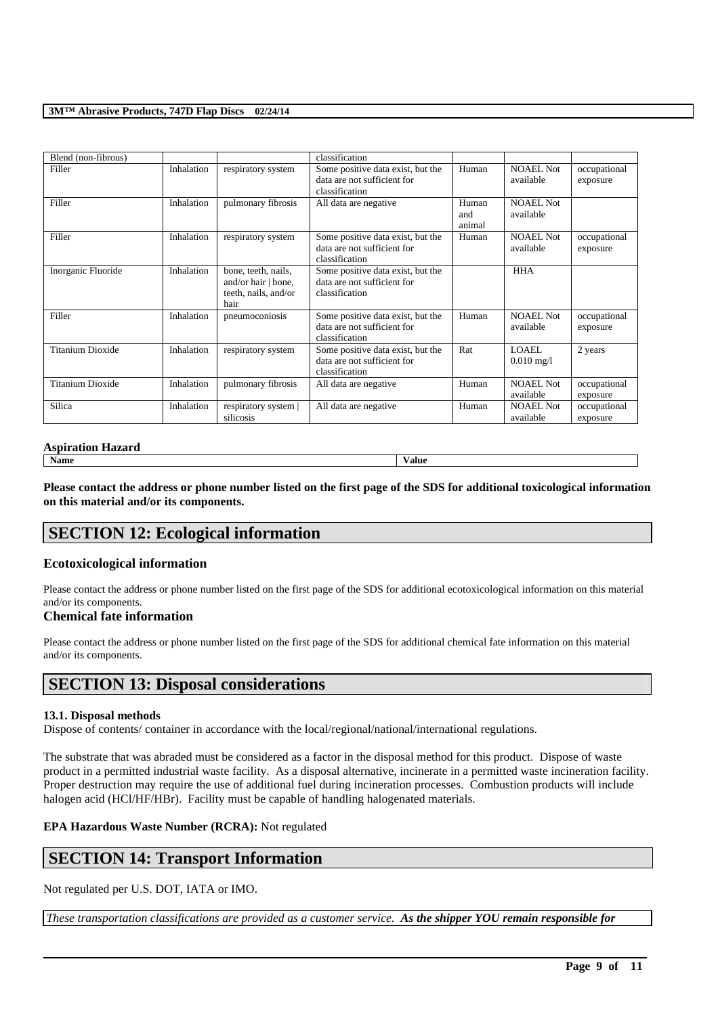| Blend (non-fibrous)     |            |                                                                            | classification                                                                     |                        |                               |                          |
|-------------------------|------------|----------------------------------------------------------------------------|------------------------------------------------------------------------------------|------------------------|-------------------------------|--------------------------|
| Filler                  | Inhalation | respiratory system                                                         | Some positive data exist, but the<br>data are not sufficient for<br>classification | Human                  | <b>NOAEL Not</b><br>available | occupational<br>exposure |
| Filler                  | Inhalation | pulmonary fibrosis                                                         | All data are negative                                                              | Human<br>and<br>animal | NOAEL Not<br>available        |                          |
| Filler                  | Inhalation | respiratory system                                                         | Some positive data exist, but the<br>data are not sufficient for<br>classification | Human                  | <b>NOAEL Not</b><br>available | occupational<br>exposure |
| Inorganic Fluoride      | Inhalation | bone, teeth, nails,<br>and/or hair   bone,<br>teeth, nails, and/or<br>hair | Some positive data exist, but the<br>data are not sufficient for<br>classification |                        | <b>HHA</b>                    |                          |
| Filler                  | Inhalation | pneumoconiosis                                                             | Some positive data exist, but the<br>data are not sufficient for<br>classification | Human                  | NOAEL Not<br>available        | occupational<br>exposure |
| Titanium Dioxide        | Inhalation | respiratory system                                                         | Some positive data exist, but the<br>data are not sufficient for<br>classification | Rat                    | LOAEL<br>$0.010 \text{ mg}/1$ | 2 years                  |
| <b>Titanium Dioxide</b> | Inhalation | pulmonary fibrosis                                                         | All data are negative                                                              | Human                  | NOAEL Not<br>available        | occupational<br>exposure |
| Silica                  | Inhalation | respiratory system  <br>silicosis                                          | All data are negative                                                              | Human                  | <b>NOAEL Not</b><br>available | occupational<br>exposure |

## **Aspiration Hazard**

**Name Value**

**Please contact the address or phone number listed on the first page of the SDS for additional toxicological information on this material and/or its components.**

# **SECTION 12: Ecological information**

## **Ecotoxicological information**

Please contact the address or phone number listed on the first page of the SDS for additional ecotoxicological information on this material and/or its components.

## **Chemical fate information**

Please contact the address or phone number listed on the first page of the SDS for additional chemical fate information on this material and/or its components.

## **SECTION 13: Disposal considerations**

#### **13.1. Disposal methods**

Dispose of contents/ container in accordance with the local/regional/national/international regulations.

The substrate that was abraded must be considered as a factor in the disposal method for this product. Dispose of waste product in a permitted industrial waste facility. As a disposal alternative, incinerate in a permitted waste incineration facility. Proper destruction may require the use of additional fuel during incineration processes. Combustion products will include halogen acid (HCl/HF/HBr). Facility must be capable of handling halogenated materials.

#### **EPA Hazardous Waste Number (RCRA):** Not regulated

## **SECTION 14: Transport Information**

Not regulated per U.S. DOT, IATA or IMO.

*These transportation classifications are provided as a customer service. As the shipper YOU remain responsible for*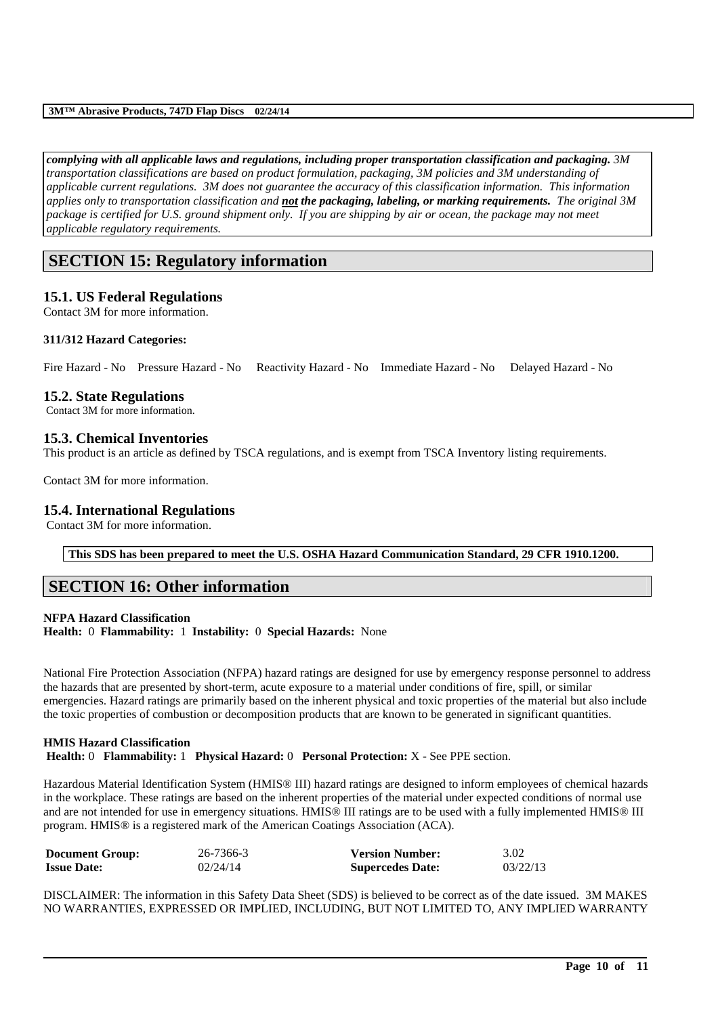*complying with all applicable laws and regulations, including proper transportation classification and packaging. 3M transportation classifications are based on product formulation, packaging, 3M policies and 3M understanding of applicable current regulations. 3M does not guarantee the accuracy of this classification information. This information applies only to transportation classification and not the packaging, labeling, or marking requirements. The original 3M*  package is certified for U.S. ground shipment only. If you are shipping by air or ocean, the package may not meet *applicable regulatory requirements.* 

## **SECTION 15: Regulatory information**

## **15.1. US Federal Regulations**

Contact 3M for more information.

#### **311/312 Hazard Categories:**

Fire Hazard - No Pressure Hazard - No Reactivity Hazard - No Immediate Hazard - No Delayed Hazard - No

### **15.2. State Regulations**

Contact 3M for more information.

## **15.3. Chemical Inventories**

This product is an article as defined by TSCA regulations, and is exempt from TSCA Inventory listing requirements.

Contact 3M for more information.

#### **15.4. International Regulations**

Contact 3M for more information.

**This SDS has been prepared to meet the U.S. OSHA Hazard Communication Standard, 29 CFR 1910.1200.**

## **SECTION 16: Other information**

## **NFPA Hazard Classification**

**Health:** 0 **Flammability:** 1 **Instability:** 0 **Special Hazards:** None

National Fire Protection Association (NFPA) hazard ratings are designed for use by emergency response personnel to address the hazards that are presented by short-term, acute exposure to a material under conditions of fire, spill, or similar emergencies. Hazard ratings are primarily based on the inherent physical and toxic properties of the material but also include the toxic properties of combustion or decomposition products that are known to be generated in significant quantities.

#### **HMIS Hazard Classification Health:** 0 **Flammability:** 1 **Physical Hazard:** 0 **Personal Protection:** X - See PPE section.

Hazardous Material Identification System (HMIS® III) hazard ratings are designed to inform employees of chemical hazards in the workplace. These ratings are based on the inherent properties of the material under expected conditions of normal use and are not intended for use in emergency situations. HMIS® III ratings are to be used with a fully implemented HMIS® III program. HMIS® is a registered mark of the American Coatings Association (ACA).

| <b>Document Group:</b> | 26-7366-3 | <b>Version Number:</b>  | 3.02     |
|------------------------|-----------|-------------------------|----------|
| <b>Issue Date:</b>     | 02/24/14  | <b>Supercedes Date:</b> | 03/22/13 |

DISCLAIMER: The information in this Safety Data Sheet (SDS) is believed to be correct as of the date issued. 3M MAKES NO WARRANTIES, EXPRESSED OR IMPLIED, INCLUDING, BUT NOT LIMITED TO, ANY IMPLIED WARRANTY